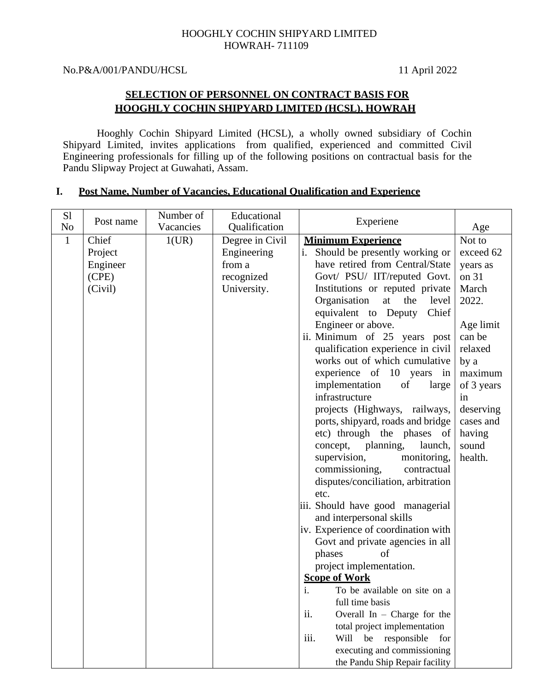# HOOGHLY COCHIN SHIPYARD LIMITED HOWRAH- 711109

No.P&A/001/PANDU/HCSL 11 April 2022

# **SELECTION OF PERSONNEL ON CONTRACT BASIS FOR HOOGHLY COCHIN SHIPYARD LIMITED (HCSL), HOWRAH**

Hooghly Cochin Shipyard Limited (HCSL), a wholly owned subsidiary of Cochin Shipyard Limited, invites applications from qualified, experienced and committed Civil Engineering professionals for filling up of the following positions on contractual basis for the Pandu Slipway Project at Guwahati, Assam.

| S <sub>1</sub><br>No | Post name                                        | Number of<br>Vacancies | Educational<br>Qualification                                          | Experiene                                                                                                                                                                                                                                                                                                                                                                                                                                                                                                                                                                                                                                                                                                                                                                                                                                                                                                                                                                                                                                                                                                                                                        | Age                                                                                                                                                                                         |
|----------------------|--------------------------------------------------|------------------------|-----------------------------------------------------------------------|------------------------------------------------------------------------------------------------------------------------------------------------------------------------------------------------------------------------------------------------------------------------------------------------------------------------------------------------------------------------------------------------------------------------------------------------------------------------------------------------------------------------------------------------------------------------------------------------------------------------------------------------------------------------------------------------------------------------------------------------------------------------------------------------------------------------------------------------------------------------------------------------------------------------------------------------------------------------------------------------------------------------------------------------------------------------------------------------------------------------------------------------------------------|---------------------------------------------------------------------------------------------------------------------------------------------------------------------------------------------|
| $\mathbf{1}$         | Chief<br>Project<br>Engineer<br>(CPE)<br>(Civil) | 1(UR)                  | Degree in Civil<br>Engineering<br>from a<br>recognized<br>University. | <b>Minimum Experience</b><br>Should be presently working or<br>have retired from Central/State<br>Govt/ PSU/ IIT/reputed Govt.<br>Institutions or reputed private<br>Organisation<br>at<br>the<br>level<br>equivalent to Deputy<br>Chief<br>Engineer or above.<br>ii. Minimum of 25 years post<br>qualification experience in civil<br>works out of which cumulative<br>experience of 10 years in<br>implementation<br>of<br>large<br>infrastructure<br>projects (Highways, railways,<br>ports, shipyard, roads and bridge<br>etc) through the phases of<br>concept, planning,<br>launch,<br>supervision,<br>monitoring,<br>commissioning,<br>contractual<br>disputes/conciliation, arbitration<br>etc.<br>iii. Should have good managerial<br>and interpersonal skills<br>iv. Experience of coordination with<br>Govt and private agencies in all<br>phases<br>of<br>project implementation.<br><b>Scope of Work</b><br>To be available on site on a<br>i.<br>full time basis<br>ii.<br>Overall In $-$ Charge for the<br>total project implementation<br>Will be<br>responsible<br>iii.<br>for<br>executing and commissioning<br>the Pandu Ship Repair facility | Not to<br>exceed 62<br>years as<br>on 31<br>March<br>2022.<br>Age limit<br>can be<br>relaxed<br>by a<br>maximum<br>of 3 years<br>in<br>deserving<br>cases and<br>having<br>sound<br>health. |

# **I. Post Name, Number of Vacancies, Educational Qualification and Experience**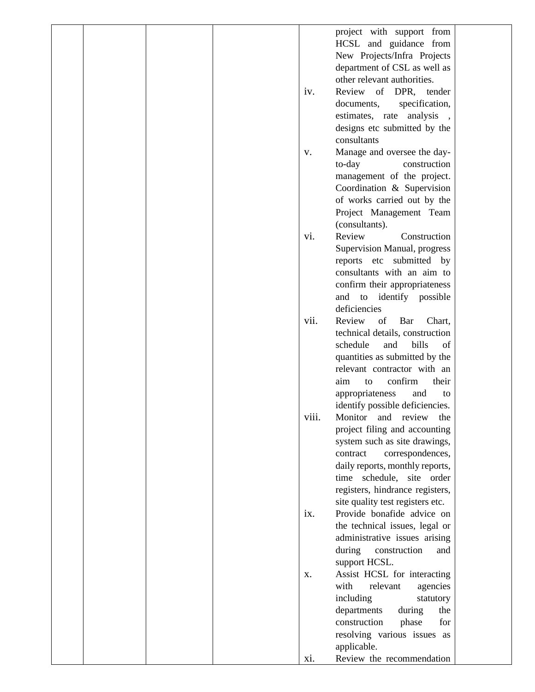|  |  |       | project with support from<br>HCSL and guidance from<br>New Projects/Infra Projects<br>department of CSL as well as |  |
|--|--|-------|--------------------------------------------------------------------------------------------------------------------|--|
|  |  | iv.   | other relevant authorities.<br>Review of DPR, tender<br>documents,<br>specification,                               |  |
|  |  |       | estimates, rate<br>analysis<br>designs etc submitted by the<br>consultants                                         |  |
|  |  | V.    | Manage and oversee the day-                                                                                        |  |
|  |  |       | to-day<br>construction                                                                                             |  |
|  |  |       | management of the project.                                                                                         |  |
|  |  |       | Coordination & Supervision                                                                                         |  |
|  |  |       | of works carried out by the                                                                                        |  |
|  |  |       | Project Management Team                                                                                            |  |
|  |  |       | (consultants).                                                                                                     |  |
|  |  | vi.   | Review<br>Construction                                                                                             |  |
|  |  |       | Supervision Manual, progress<br>reports etc submitted by                                                           |  |
|  |  |       | consultants with an aim to                                                                                         |  |
|  |  |       | confirm their appropriateness                                                                                      |  |
|  |  |       | and to identify possible                                                                                           |  |
|  |  |       | deficiencies                                                                                                       |  |
|  |  | vii.  | Review<br>of<br>Bar<br>Chart,                                                                                      |  |
|  |  |       | technical details, construction                                                                                    |  |
|  |  |       | bills<br>schedule<br>and<br>of                                                                                     |  |
|  |  |       | quantities as submitted by the                                                                                     |  |
|  |  |       | relevant contractor with an                                                                                        |  |
|  |  |       | confirm<br>aim<br>their<br>to                                                                                      |  |
|  |  |       | appropriateness<br>and<br>to                                                                                       |  |
|  |  |       | identify possible deficiencies.                                                                                    |  |
|  |  | viii. | Monitor and review the                                                                                             |  |
|  |  |       | project filing and accounting<br>system such as site drawings,                                                     |  |
|  |  |       | correspondences,<br>contract                                                                                       |  |
|  |  |       | daily reports, monthly reports,                                                                                    |  |
|  |  |       | time schedule, site order                                                                                          |  |
|  |  |       | registers, hindrance registers,                                                                                    |  |
|  |  |       | site quality test registers etc.                                                                                   |  |
|  |  | ix.   | Provide bonafide advice on                                                                                         |  |
|  |  |       | the technical issues, legal or                                                                                     |  |
|  |  |       | administrative issues arising                                                                                      |  |
|  |  |       | during<br>construction<br>and                                                                                      |  |
|  |  |       | support HCSL.                                                                                                      |  |
|  |  | Х.    | Assist HCSL for interacting<br>with<br>relevant                                                                    |  |
|  |  |       | agencies<br>including<br>statutory                                                                                 |  |
|  |  |       | departments<br>during<br>the                                                                                       |  |
|  |  |       | construction<br>phase<br>for                                                                                       |  |
|  |  |       | resolving various issues as                                                                                        |  |
|  |  |       | applicable.                                                                                                        |  |
|  |  | xi.   | Review the recommendation                                                                                          |  |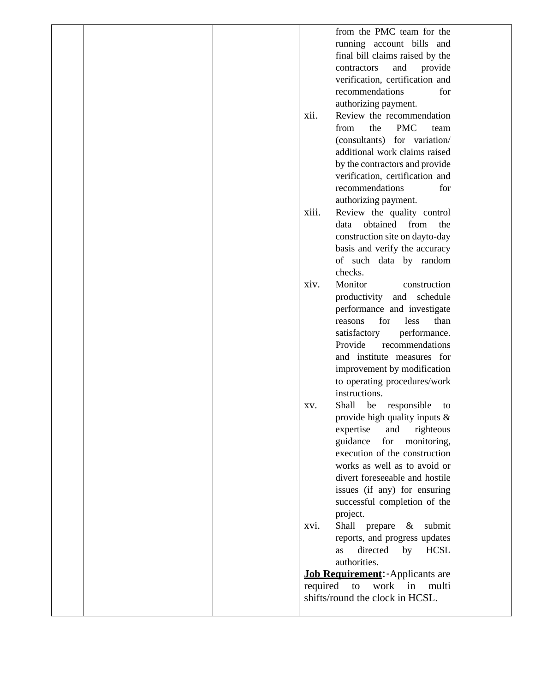|  |  |          | from the PMC team for the           |  |
|--|--|----------|-------------------------------------|--|
|  |  |          | running account bills and           |  |
|  |  |          | final bill claims raised by the     |  |
|  |  |          | provide<br>and<br>contractors       |  |
|  |  |          | verification, certification and     |  |
|  |  |          | recommendations<br>for              |  |
|  |  |          | authorizing payment.                |  |
|  |  | xii.     | Review the recommendation           |  |
|  |  |          | <b>PMC</b><br>from<br>the<br>team   |  |
|  |  |          | (consultants) for variation/        |  |
|  |  |          | additional work claims raised       |  |
|  |  |          | by the contractors and provide      |  |
|  |  |          | verification, certification and     |  |
|  |  |          | recommendations<br>for              |  |
|  |  |          | authorizing payment.                |  |
|  |  | xiii.    | Review the quality control          |  |
|  |  |          | obtained<br>from<br>the<br>data     |  |
|  |  |          | construction site on dayto-day      |  |
|  |  |          | basis and verify the accuracy       |  |
|  |  |          | of such data by random              |  |
|  |  |          | checks.                             |  |
|  |  | xiv.     | Monitor<br>construction             |  |
|  |  |          | productivity<br>and<br>schedule     |  |
|  |  |          | performance and investigate         |  |
|  |  |          | for<br>less<br>than<br>reasons      |  |
|  |  |          | satisfactory<br>performance.        |  |
|  |  |          | Provide<br>recommendations          |  |
|  |  |          | and institute measures for          |  |
|  |  |          | improvement by modification         |  |
|  |  |          | to operating procedures/work        |  |
|  |  |          | instructions.                       |  |
|  |  | XV.      | Shall<br>be<br>responsible<br>to    |  |
|  |  |          | provide high quality inputs &       |  |
|  |  |          | expertise<br>righteous<br>and       |  |
|  |  |          | guidance<br>for<br>monitoring,      |  |
|  |  |          | execution of the construction       |  |
|  |  |          | works as well as to avoid or        |  |
|  |  |          | divert foreseeable and hostile      |  |
|  |  |          | issues (if any) for ensuring        |  |
|  |  |          | successful completion of the        |  |
|  |  |          | project.                            |  |
|  |  | xvi.     | Shall<br>prepare<br>submit<br>$\&$  |  |
|  |  |          | reports, and progress updates       |  |
|  |  |          | directed<br><b>HCSL</b><br>by<br>as |  |
|  |  |          | authorities.                        |  |
|  |  |          | Job Requirement: - Applicants are   |  |
|  |  | required | work<br>in<br>multi<br>to           |  |
|  |  |          | shifts/round the clock in HCSL.     |  |
|  |  |          |                                     |  |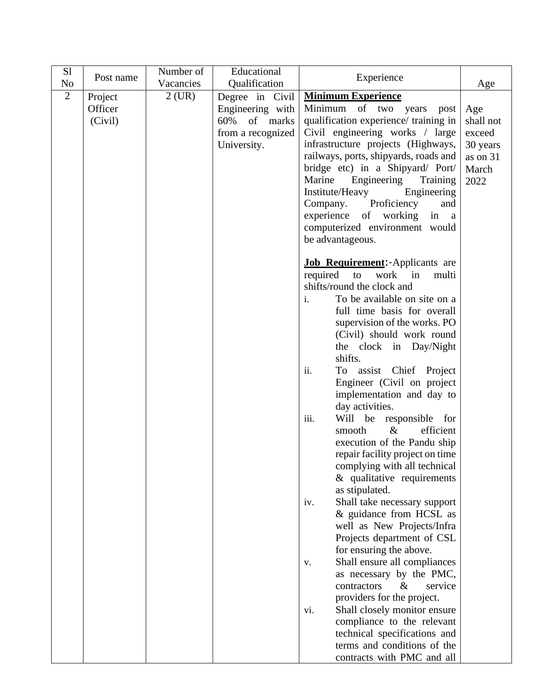| S1             | Post name | Number of | Educational       | Experience                                              |           |
|----------------|-----------|-----------|-------------------|---------------------------------------------------------|-----------|
| N <sub>o</sub> |           | Vacancies | Qualification     |                                                         | Age       |
| $\overline{2}$ | Project   | $2$ (UR)  | Degree in Civil   | <b>Minimum Experience</b>                               |           |
|                | Officer   |           | Engineering with  | Minimum of two years<br>post                            | Age       |
|                | (Civil)   |           | 60%<br>of marks   | qualification experience/ training in                   | shall not |
|                |           |           | from a recognized | Civil engineering works / large                         | exceed    |
|                |           |           | University.       | infrastructure projects (Highways,                      | 30 years  |
|                |           |           |                   | railways, ports, shipyards, roads and                   | as on 31  |
|                |           |           |                   | bridge etc) in a Shipyard/ Port/                        | March     |
|                |           |           |                   | Engineering<br>Marine<br>Training                       | 2022      |
|                |           |           |                   | Institute/Heavy<br>Engineering                          |           |
|                |           |           |                   | Proficiency<br>Company.<br>and                          |           |
|                |           |           |                   | experience of working<br>in a                           |           |
|                |           |           |                   | computerized environment would                          |           |
|                |           |           |                   | be advantageous.                                        |           |
|                |           |           |                   | <b>Job Requirement:</b> Applicants are                  |           |
|                |           |           |                   | required to<br>work<br>$\sin$<br>multi                  |           |
|                |           |           |                   | shifts/round the clock and                              |           |
|                |           |           |                   | To be available on site on a<br>i.                      |           |
|                |           |           |                   | full time basis for overall                             |           |
|                |           |           |                   | supervision of the works. PO                            |           |
|                |           |           |                   | (Civil) should work round                               |           |
|                |           |           |                   | the clock in Day/Night                                  |           |
|                |           |           |                   | shifts.                                                 |           |
|                |           |           |                   | To assist Chief Project<br>ii.                          |           |
|                |           |           |                   | Engineer (Civil on project                              |           |
|                |           |           |                   | implementation and day to                               |           |
|                |           |           |                   | day activities.                                         |           |
|                |           |           |                   | Will be<br>responsible for<br>iii.                      |           |
|                |           |           |                   | $\&$<br>efficient<br>smooth                             |           |
|                |           |           |                   | execution of the Pandu ship                             |           |
|                |           |           |                   | repair facility project on time                         |           |
|                |           |           |                   | complying with all technical                            |           |
|                |           |           |                   | $&$ qualitative requirements                            |           |
|                |           |           |                   | as stipulated.                                          |           |
|                |           |           |                   | Shall take necessary support<br>iv.                     |           |
|                |           |           |                   | & guidance from HCSL as                                 |           |
|                |           |           |                   | well as New Projects/Infra                              |           |
|                |           |           |                   | Projects department of CSL                              |           |
|                |           |           |                   | for ensuring the above.                                 |           |
|                |           |           |                   | Shall ensure all compliances<br>V.                      |           |
|                |           |           |                   | as necessary by the PMC,<br>contractors<br>&<br>service |           |
|                |           |           |                   | providers for the project.                              |           |
|                |           |           |                   | Shall closely monitor ensure                            |           |
|                |           |           |                   | vi.<br>compliance to the relevant                       |           |
|                |           |           |                   | technical specifications and                            |           |
|                |           |           |                   | terms and conditions of the                             |           |
|                |           |           |                   | contracts with PMC and all                              |           |
|                |           |           |                   |                                                         |           |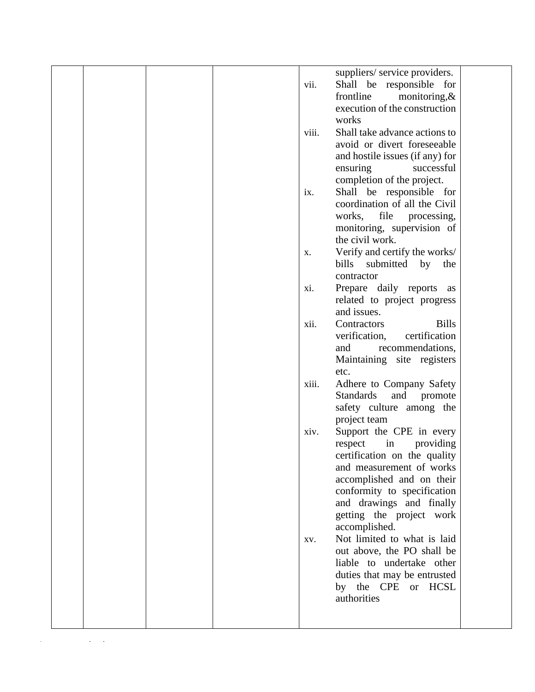|  |  |       | suppliers/ service providers.      |  |
|--|--|-------|------------------------------------|--|
|  |  | vii.  | Shall be responsible for           |  |
|  |  |       | frontline<br>monitoring, $\&$      |  |
|  |  |       | execution of the construction      |  |
|  |  |       | works                              |  |
|  |  |       |                                    |  |
|  |  | viii. | Shall take advance actions to      |  |
|  |  |       | avoid or divert foreseeable        |  |
|  |  |       | and hostile issues (if any) for    |  |
|  |  |       | ensuring<br>successful             |  |
|  |  |       | completion of the project.         |  |
|  |  | ix.   | Shall be responsible for           |  |
|  |  |       | coordination of all the Civil      |  |
|  |  |       |                                    |  |
|  |  |       | works, file<br>processing,         |  |
|  |  |       | monitoring, supervision of         |  |
|  |  |       | the civil work.                    |  |
|  |  | Х.    | Verify and certify the works/      |  |
|  |  |       | bills<br>submitted<br>by<br>the    |  |
|  |  |       | contractor                         |  |
|  |  | xi.   | Prepare daily reports<br>as        |  |
|  |  |       |                                    |  |
|  |  |       | related to project progress        |  |
|  |  |       | and issues.                        |  |
|  |  | xii.  | Contractors<br><b>Bills</b>        |  |
|  |  |       | certification<br>verification,     |  |
|  |  |       | recommendations,<br>and            |  |
|  |  |       | Maintaining site registers         |  |
|  |  |       | etc.                               |  |
|  |  | xiii. | Adhere to Company Safety           |  |
|  |  |       |                                    |  |
|  |  |       | <b>Standards</b><br>and<br>promote |  |
|  |  |       | safety culture among the           |  |
|  |  |       | project team                       |  |
|  |  | xiv.  | Support the CPE in every           |  |
|  |  |       | providing<br>respect<br>in         |  |
|  |  |       | certification on the quality       |  |
|  |  |       | and measurement of works           |  |
|  |  |       |                                    |  |
|  |  |       | accomplished and on their          |  |
|  |  |       | conformity to specification        |  |
|  |  |       | and drawings and finally           |  |
|  |  |       | getting the project work           |  |
|  |  |       | accomplished.                      |  |
|  |  | XV.   | Not limited to what is laid        |  |
|  |  |       | out above, the PO shall be         |  |
|  |  |       | liable to undertake other          |  |
|  |  |       |                                    |  |
|  |  |       | duties that may be entrusted       |  |
|  |  |       | by the CPE or HCSL                 |  |
|  |  |       | authorities                        |  |
|  |  |       |                                    |  |
|  |  |       |                                    |  |
|  |  |       |                                    |  |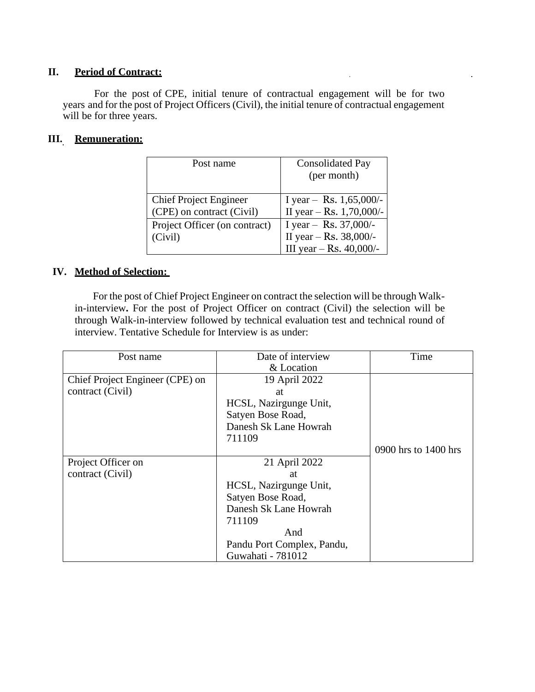### **II. Period of Contract:**

For the post of CPE, initial tenure of contractual engagement will be for two years and for the post of Project Officers (Civil), the initial tenure of contractual engagement will be for three years.

### **III. Remuneration:**

| Post name                                                  | <b>Consolidated Pay</b><br>(per month)                                         |
|------------------------------------------------------------|--------------------------------------------------------------------------------|
| <b>Chief Project Engineer</b><br>(CPE) on contract (Civil) | I year - Rs. $1,65,000$ /-<br>II year - Rs. 1,70,000/-                         |
| Project Officer (on contract)<br>(Civil)                   | I year - Rs. $37,000/$ -<br>II year -- Rs. 38,000/-<br>III year - Rs. 40,000/- |

# **IV. Method of Selection:**

For the post of Chief Project Engineer on contract the selection will be through Walkin-interview**.** For the post of Project Officer on contract (Civil) the selection will be through Walk-in-interview followed by technical evaluation test and technical round of interview. Tentative Schedule for Interview is as under:

| Post name                       | Date of interview          | Time                 |
|---------------------------------|----------------------------|----------------------|
|                                 | & Location                 |                      |
| Chief Project Engineer (CPE) on | 19 April 2022              |                      |
| contract (Civil)                | at                         |                      |
|                                 | HCSL, Nazirgunge Unit,     |                      |
|                                 | Satyen Bose Road,          |                      |
|                                 | Danesh Sk Lane Howrah      |                      |
|                                 | 711109                     |                      |
|                                 |                            | 0900 hrs to 1400 hrs |
| Project Officer on              | 21 April 2022              |                      |
| contract (Civil)                | at                         |                      |
|                                 | HCSL, Nazirgunge Unit,     |                      |
|                                 | Satyen Bose Road,          |                      |
|                                 | Danesh Sk Lane Howrah      |                      |
|                                 | 711109                     |                      |
|                                 | And                        |                      |
|                                 | Pandu Port Complex, Pandu, |                      |
|                                 | Guwahati - 781012          |                      |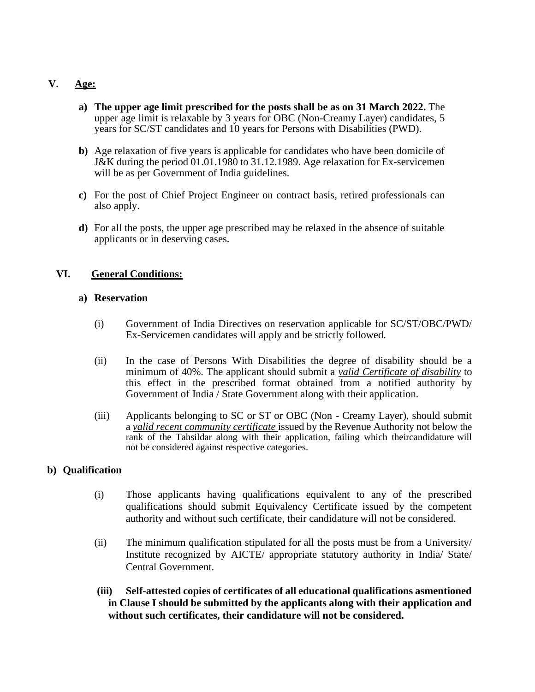# **V. Age:**

- **a) The upper age limit prescribed for the posts shall be as on 31 March 2022.** The upper age limit is relaxable by 3 years for OBC (Non-Creamy Layer) candidates, 5 years for SC/ST candidates and 10 years for Persons with Disabilities (PWD).
- **b)** Age relaxation of five years is applicable for candidates who have been domicile of J&K during the period 01.01.1980 to 31.12.1989. Age relaxation for Ex-servicemen will be as per Government of India guidelines.
- **c)** For the post of Chief Project Engineer on contract basis, retired professionals can also apply.
- **d)** For all the posts, the upper age prescribed may be relaxed in the absence of suitable applicants or in deserving cases.

# **VI. General Conditions:**

#### **a) Reservation**

- (i) Government of India Directives on reservation applicable for SC/ST/OBC/PWD/ Ex-Servicemen candidates will apply and be strictly followed.
- (ii) In the case of Persons With Disabilities the degree of disability should be a minimum of 40%. The applicant should submit a *valid Certificate of disability* to this effect in the prescribed format obtained from a notified authority by Government of India / State Government along with their application.
- (iii) Applicants belonging to SC or ST or OBC (Non Creamy Layer), should submit a *valid recent community certificate* issued by the Revenue Authority not below the rank of the Tahsildar along with their application, failing which theircandidature will not be considered against respective categories.

#### **b) Qualification**

- (i) Those applicants having qualifications equivalent to any of the prescribed qualifications should submit Equivalency Certificate issued by the competent authority and without such certificate, their candidature will not be considered.
- (ii) The minimum qualification stipulated for all the posts must be from a University/ Institute recognized by AICTE/ appropriate statutory authority in India/ State/ Central Government.
- **(iii) Self-attested copies of certificates of all educational qualifications asmentioned in Clause I should be submitted by the applicants along with their application and without such certificates, their candidature will not be considered.**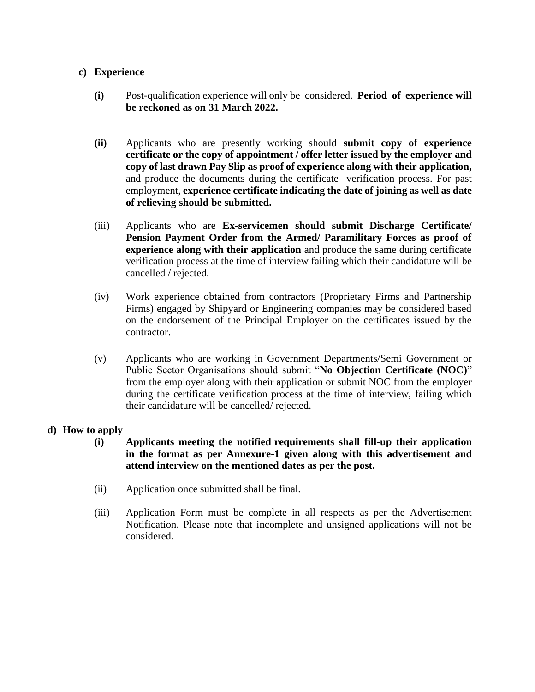#### **c) Experience**

- **(i)** Post-qualification experience will only be considered. **Period of experience will be reckoned as on 31 March 2022.**
- **(ii)** Applicants who are presently working should **submit copy of experience certificate or the copy of appointment / offer letter issued by the employer and copy of last drawn Pay Slip as proof of experience along with their application,** and produce the documents during the certificate verification process. For past employment, **experience certificate indicating the date of joining as well as date of relieving should be submitted.**
- (iii) Applicants who are **Ex-servicemen should submit Discharge Certificate/ Pension Payment Order from the Armed/ Paramilitary Forces as proof of experience along with their application** and produce the same during certificate verification process at the time of interview failing which their candidature will be cancelled / rejected.
- (iv) Work experience obtained from contractors (Proprietary Firms and Partnership Firms) engaged by Shipyard or Engineering companies may be considered based on the endorsement of the Principal Employer on the certificates issued by the contractor.
- (v) Applicants who are working in Government Departments/Semi Government or Public Sector Organisations should submit "**No Objection Certificate (NOC)**" from the employer along with their application or submit NOC from the employer during the certificate verification process at the time of interview, failing which their candidature will be cancelled/ rejected.

#### **d) How to apply**

- **(i) Applicants meeting the notified requirements shall fill-up their application in the format as per Annexure-1 given along with this advertisement and attend interview on the mentioned dates as per the post.**
- (ii) Application once submitted shall be final.
- (iii) Application Form must be complete in all respects as per the Advertisement Notification. Please note that incomplete and unsigned applications will not be considered.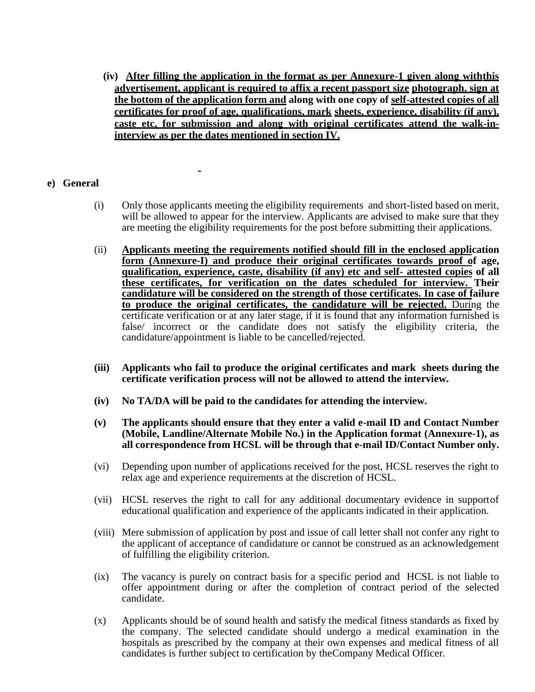**(iv) After filling the application in the format as per Annexure-1 given along withthis advertisement, applicant is required to affix a recent passport size photograph, sign at the bottom of the application form and along with one copy of self-attested copies of all certificates for proof of age, qualifications, mark sheets, experience, disability (if any), caste etc, for submission and along with original certificates attend the walk-ininterview as per the dates mentioned in section IV.**

### **e) General**

- (i) Only those applicants meeting the eligibility requirements and short-listed based on merit, will be allowed to appear for the interview. Applicants are advised to make sure that they are meeting the eligibility requirements for the post before submitting their applications.
- (ii) **Applicants meeting the requirements notified should fill in the enclosed application form (Annexure-I) and produce their original certificates towards proof of age, qualification, experience, caste, disability (if any) etc and self- attested copies of all these certificates, for verification on the dates scheduled for interview. Their candidature will be considered on the strength of those certificates. In case of failure to produce the original certificates, the candidature will be rejected.** During the certificate verification or at any later stage, if it is found that any information furnished is false/ incorrect or the candidate does not satisfy the eligibility criteria, the candidature/appointment is liable to be cancelled/rejected.
- **(iii) Applicants who fail to produce the original certificates and mark sheets during the certificate verification process will not be allowed to attend the interview.**
- **(iv) No TA/DA will be paid to the candidates for attending the interview.**
- **(v) The applicants should ensure that they enter a valid e-mail ID and Contact Number (Mobile, Landline/Alternate Mobile No.) in the Application format (Annexure-1), as all correspondence from HCSL will be through that e-mail ID/Contact Number only.**
- (vi) Depending upon number of applications received for the post, HCSL reserves the right to relax age and experience requirements at the discretion of HCSL.
- (vii) HCSL reserves the right to call for any additional documentary evidence in supportof educational qualification and experience of the applicants indicated in their application.
- (viii) Mere submission of application by post and issue of call letter shall not confer any right to the applicant of acceptance of candidature or cannot be construed as an acknowledgement of fulfilling the eligibility criterion.
- (ix) The vacancy is purely on contract basis for a specific period and HCSL is not liable to offer appointment during or after the completion of contract period of the selected candidate.
- (x) Applicants should be of sound health and satisfy the medical fitness standards as fixed by the company. The selected candidate should undergo a medical examination in the hospitals as prescribed by the company at their own expenses and medical fitness of all candidates is further subject to certification by theCompany Medical Officer.